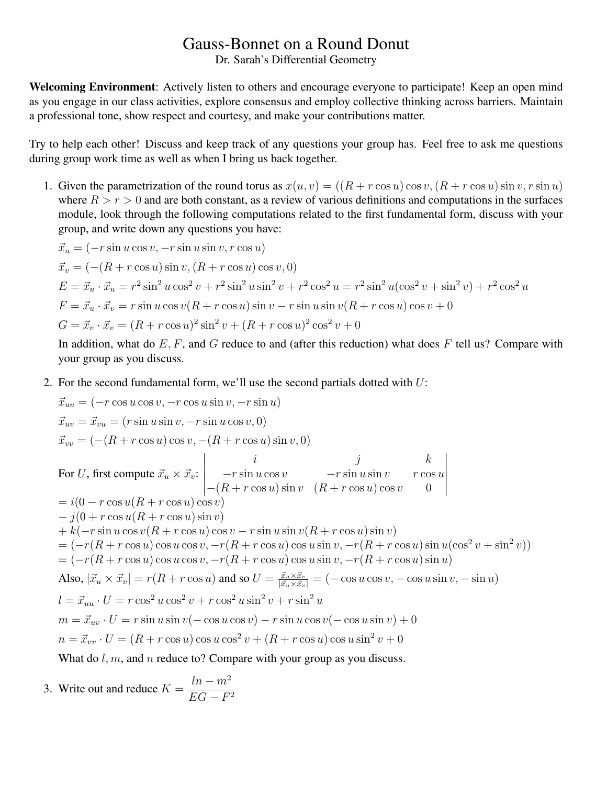## Gauss-Bonnet on a Round Donut

Dr. Sarah's Differential Geometry

Welcoming Environment: Actively listen to others and encourage everyone to participate! Keep an open mind as you engage in our class activities, explore consensus and employ collective thinking across barriers. Maintain a professional tone, show respect and courtesy, and make your contributions matter.

Try to help each other! Discuss and keep track of any questions your group has. Feel free to ask me questions during group work time as well as when I bring us back together.

1. Given the parametrization of the round torus as  $x(u, v) = ((R + r \cos u) \cos v, (R + r \cos u) \sin v, r \sin u)$ where  $R > r > 0$  and are both constant, as a review of various definitions and computations in the surfaces module, look through the following computations related to the first fundamental form, discuss with your group, and write down any questions you have:

$$
\vec{x}_u = (-r\sin u \cos v, -r\sin u \sin v, r\cos u)
$$
  
\n
$$
\vec{x}_v = (-(R + r\cos u)\sin v, (R + r\cos u)\cos v, 0)
$$
  
\n
$$
E = \vec{x}_u \cdot \vec{x}_u = r^2 \sin^2 u \cos^2 v + r^2 \sin^2 u \sin^2 v + r^2 \cos^2 u = r^2 \sin^2 u (\cos^2 v + \sin^2 v) + r^2 \cos^2 u
$$
  
\n
$$
F = \vec{x}_u \cdot \vec{x}_v = r\sin u \cos v(R + r\cos u)\sin v - r\sin u \sin v(R + r\cos u)\cos v + 0
$$
  
\n
$$
G = \vec{x}_v \cdot \vec{x}_v = (R + r\cos u)^2 \sin^2 v + (R + r\cos u)^2 \cos^2 v + 0
$$

In addition, what do  $E, F$ , and  $G$  reduce to and (after this reduction) what does  $F$  tell us? Compare with your group as you discuss.

2. For the second fundamental form, we'll use the second partials dotted with  $U$ :

$$
\vec{x}_{uu} = (-r \cos u \cos v, -r \cos u \sin v, -r \sin u)
$$
\n
$$
\vec{x}_{uv} = \vec{x}_{vu} = (r \sin u \sin v, -r \sin u \cos v, 0)
$$
\n
$$
\vec{x}_{vv} = (-(R + r \cos u) \cos v, -(R + r \cos u) \sin v, 0)
$$
\nFor *U*, first compute  $\vec{x}_u \times \vec{x}_v$ : 
$$
\begin{vmatrix}\ni & j & k \\
-r \sin u \cos v & -r \sin u \sin v & r \cos u \\
-(R + r \cos u) \cos v & 0\n\end{vmatrix}
$$
\n
$$
= i(0 - r \cos u(R + r \cos u) \cos v)
$$
\n
$$
- j(0 + r \cos u(R + r \cos u) \sin v)
$$
\n
$$
+ k(-r \sin u \cos v(R + r \cos u) \sin v)
$$
\n
$$
+ k(-r \sin u \cos v(R + r \cos u) \cos v - r \sin u \sin v(R + r \cos u) \sin v)
$$
\n
$$
= (-r(R + r \cos u) \cos u \cos v, -r(R + r \cos u) \cos u \sin v, -r(R + r \cos u) \sin u)
$$
\nAlso,  $|\vec{x}_u \times \vec{x}_v| = r(R + r \cos u)$  and so  $U = \frac{\vec{x}_u \times \vec{x}_v}{|\vec{x}_u \times \vec{x}_v|} = (-\cos u \cos v, -\cos u \sin v, -\sin u)$   
\n $l = \vec{x}_{uu} \cdot U = r \cos^2 u \cos^2 v + r \cos^2 u \sin^2 v + r \sin^2 u$   
\n $m = \vec{x}_{uv} \cdot U = r \sin u \sin v(-\cos u \cos v) - r \sin u \cos v(-\cos u \sin v) + 0$   
\n $n = \vec{x}_{vv} \cdot U = r \sin u \sin v(-\cos u \cos v) - r \sin u \cos v(-\cos u \sin v) + 0$   
\n $n = \vec{x}_{vv} \cdot U = (R + r \cos u) \cos u \cos^2 v + (R + r \cos u) \cos u \sin^2 v + 0$   
\nWhat do *l*, *m*, and *n* reduce to? Compare with your group as you discuss.

3. Write out and reduce 
$$
K = \frac{ln - m^2}{EG - F^2}
$$